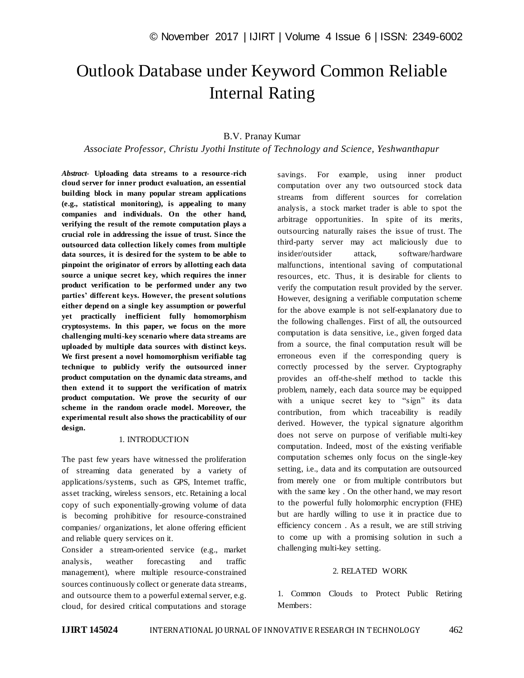# Outlook Database under Keyword Common Reliable Internal Rating

## B.V. Pranay Kumar

## *Associate Professor, Christu Jyothi Institute of Technology and Science, Yeshwanthapur*

*Abstract*- **Uploading data streams to a resource-rich cloud server for inner product evaluation, an essential building block in many popular stream applications (e.g., statistical monitoring), is appealing to many companies and individuals. On the other hand, verifying the result of the remote computation plays a crucial role in addressing the issue of trust. Since the outsourced data collection likely comes from multiple data sources, it is desired for the system to be able to pinpoint the originator of errors by allotting each data source a unique secret key, which requires the inner product verification to be performed under any two parties' different keys. However, the present solutions either depend on a single key assumption or powerful yet practically inefficient fully homomorphism cryptosystems. In this paper, we focus on the more challenging multi-key scenario where data streams are uploaded by multiple data sources with distinct keys. We first present a novel homomorphism verifiable tag technique to publicly verify the outsourced inner product computation on the dynamic data streams, and then extend it to support the verification of matrix product computation. We prove the security of our scheme in the random oracle model. Moreover, the experimental result also shows the practicability of our design.**

#### 1. INTRODUCTION

The past few years have witnessed the proliferation of streaming data generated by a variety of applications/systems, such as GPS, Internet traffic, asset tracking, wireless sensors, etc. Retaining a local copy of such exponentially-growing volume of data is becoming prohibitive for resource-constrained companies/ organizations, let alone offering efficient and reliable query services on it.

Consider a stream-oriented service (e.g., market analysis, weather forecasting and traffic management), where multiple resource-constrained sources continuously collect or generate data streams, and outsource them to a powerful external server, e.g. cloud, for desired critical computations and storage

savings. For example, using inner product computation over any two outsourced stock data streams from different sources for correlation analysis, a stock market trader is able to spot the arbitrage opportunities. In spite of its merits, outsourcing naturally raises the issue of trust. The third-party server may act maliciously due to insider/outsider attack, software/hardware malfunctions, intentional saving of computational resources, etc. Thus, it is desirable for clients to verify the computation result provided by the server. However, designing a verifiable computation scheme for the above example is not self-explanatory due to the following challenges. First of all, the outsourced computation is data sensitive, i.e., given forged data from a source, the final computation result will be erroneous even if the corresponding query is correctly processed by the server. Cryptography provides an off-the-shelf method to tackle this problem, namely, each data source may be equipped with a unique secret key to "sign" its data contribution, from which traceability is readily derived. However, the typical signature algorithm does not serve on purpose of verifiable multi-key computation. Indeed, most of the existing verifiable computation schemes only focus on the single-key setting, i.e., data and its computation are outsourced from merely one or from multiple contributors but with the same key . On the other hand, we may resort to the powerful fully holomorphic encryption (FHE) but are hardly willing to use it in practice due to efficiency concern . As a result, we are still striving to come up with a promising solution in such a challenging multi-key setting.

### 2. RELATED WORK

1. Common Clouds to Protect Public Retiring Members: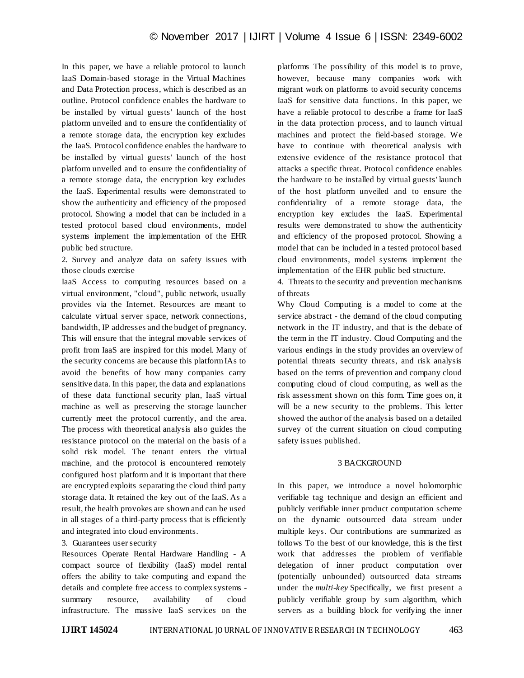In this paper, we have a reliable protocol to launch IaaS Domain-based storage in the Virtual Machines and Data Protection process, which is described as an outline. Protocol confidence enables the hardware to be installed by virtual guests' launch of the host platform unveiled and to ensure the confidentiality of a remote storage data, the encryption key excludes the IaaS. Protocol confidence enables the hardware to be installed by virtual guests' launch of the host platform unveiled and to ensure the confidentiality of a remote storage data, the encryption key excludes the IaaS. Experimental results were demonstrated to show the authenticity and efficiency of the proposed protocol. Showing a model that can be included in a tested protocol based cloud environments, model systems implement the implementation of the EHR public bed structure.

2. Survey and analyze data on safety issues with those clouds exercise

IaaS Access to computing resources based on a virtual environment, "cloud", public network, usually provides via the Internet. Resources are meant to calculate virtual server space, network connections, bandwidth, IP addresses and the budget of pregnancy. This will ensure that the integral movable services of profit from IaaS are inspired for this model. Many of the security concerns are because this platform IAs to avoid the benefits of how many companies carry sensitive data. In this paper, the data and explanations of these data functional security plan, IaaS virtual machine as well as preserving the storage launcher currently meet the protocol currently, and the area. The process with theoretical analysis also guides the resistance protocol on the material on the basis of a solid risk model. The tenant enters the virtual machine, and the protocol is encountered remotely configured host platform and it is important that there are encrypted exploits separating the cloud third party storage data. It retained the key out of the IaaS. As a result, the health provokes are shown and can be used in all stages of a third-party process that is efficiently and integrated into cloud environments.

#### 3. Guarantees user security

Resources Operate Rental Hardware Handling - A compact source of flexibility (IaaS) model rental offers the ability to take computing and expand the details and complete free access to complex systems summary resource, availability of cloud infrastructure. The massive IaaS services on the

platforms The possibility of this model is to prove, however, because many companies work with migrant work on platforms to avoid security concerns IaaS for sensitive data functions. In this paper, we have a reliable protocol to describe a frame for IaaS in the data protection process, and to launch virtual machines and protect the field-based storage. We have to continue with theoretical analysis with extensive evidence of the resistance protocol that attacks a specific threat. Protocol confidence enables the hardware to be installed by virtual guests' launch of the host platform unveiled and to ensure the confidentiality of a remote storage data, the encryption key excludes the IaaS. Experimental results were demonstrated to show the authenticity and efficiency of the proposed protocol. Showing a model that can be included in a tested protocol based cloud environments, model systems implement the implementation of the EHR public bed structure.

4. Threats to the security and prevention mechanisms of threats

Why Cloud Computing is a model to come at the service abstract - the demand of the cloud computing network in the IT industry, and that is the debate of the term in the IT industry. Cloud Computing and the various endings in the study provides an overview of potential threats security threats, and risk analysis based on the terms of prevention and company cloud computing cloud of cloud computing, as well as the risk assessment shown on this form. Time goes on, it will be a new security to the problems. This letter showed the author of the analysis based on a detailed survey of the current situation on cloud computing safety issues published.

#### 3 BACKGROUND

In this paper, we introduce a novel holomorphic verifiable tag technique and design an efficient and publicly verifiable inner product computation scheme on the dynamic outsourced data stream under multiple keys. Our contributions are summarized as follows To the best of our knowledge, this is the first work that addresses the problem of verifiable delegation of inner product computation over (potentially unbounded) outsourced data streams under the *multi-key* Specifically, we first present a publicly verifiable group by sum algorithm, which servers as a building block for verifying the inner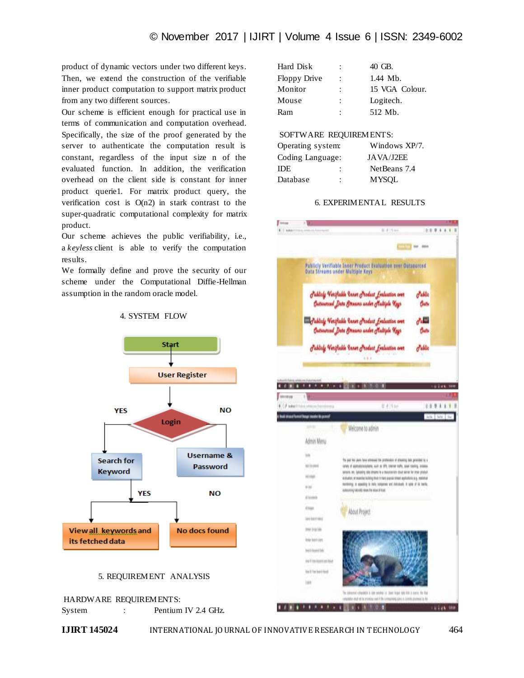product of dynamic vectors under two different keys. Then, we extend the construction of the verifiable inner product computation to support matrix product from any two different sources.

Our scheme is efficient enough for practical use in terms of communication and computation overhead. Specifically, the size of the proof generated by the server to authenticate the computation result is constant, regardless of the input size n of the evaluated function. In addition, the verification overhead on the client side is constant for inner product querie1. For matrix product query, the verification cost is  $O(n2)$  in stark contrast to the super-quadratic computational complexity for matrix product.

Our scheme achieves the public verifiability, i.e., a *keyless* client is able to verify the computation results.

We formally define and prove the security of our scheme under the Computational Diffie-Hellman assumption in the random oracle model.

## 4. SYSTEM FLOW



#### 5. REQUIREMENT ANALYSIS

## HARDWARE REQUIREMENTS: System : Pentium IV 2.4 GHz.

| Hard Disk           |                      | 40 GB.         |
|---------------------|----------------------|----------------|
| <b>Floppy Drive</b> |                      | 1.44 Mb.       |
| Monitor             | $\ddot{\phantom{a}}$ | 15 VGA Colour. |
| Mouse               | $\ddot{\phantom{a}}$ | Logitech.      |
| Ram                 | ٠                    | 512 Mb.        |

#### SOFTWARE REQUIREMENTS:

| Operating system: |   | Windows XP/7. |
|-------------------|---|---------------|
| Coding Language:  |   | JAVA/J2EE     |
| IDE.              | ٠ | NetBeans 7.4  |
| Database          | ٠ | <b>MYSOL</b>  |

#### 6. EXPERIMENTAL RESULTS

|                           |                                  | $11.0 - 9.6$                                                                                                                                                                                        |                         |
|---------------------------|----------------------------------|-----------------------------------------------------------------------------------------------------------------------------------------------------------------------------------------------------|-------------------------|
|                           |                                  |                                                                                                                                                                                                     | 00011                   |
|                           |                                  |                                                                                                                                                                                                     | <b>CONTROL</b> FOR ARMS |
|                           |                                  |                                                                                                                                                                                                     |                         |
|                           | Data Sfreams under Multiple Keys | Fublicly Verifiable Inner Product Evaluation over Outsourced                                                                                                                                        |                         |
|                           |                                  |                                                                                                                                                                                                     |                         |
|                           |                                  | Publicly Verifiable Enner Product freduction over                                                                                                                                                   | d'ablic                 |
|                           |                                  | Outsourced Data Steeness under Haltiple Keys                                                                                                                                                        | <b>Bath</b>             |
|                           |                                  |                                                                                                                                                                                                     |                         |
|                           |                                  | Englishing Verifiable Ennet grodust fralention over<br><b>Outseareed Date Streams under Haltiple Keys</b>                                                                                           | 小島<br><b>Outs</b>       |
|                           |                                  |                                                                                                                                                                                                     |                         |
|                           |                                  | Publicly Verifiable Enner Product fraluation over                                                                                                                                                   | Public                  |
|                           |                                  |                                                                                                                                                                                                     |                         |
|                           |                                  |                                                                                                                                                                                                     |                         |
|                           |                                  |                                                                                                                                                                                                     |                         |
|                           |                                  |                                                                                                                                                                                                     |                         |
|                           |                                  |                                                                                                                                                                                                     |                         |
|                           |                                  |                                                                                                                                                                                                     |                         |
|                           |                                  | 0.41% to                                                                                                                                                                                            | 119111                  |
|                           |                                  |                                                                                                                                                                                                     | July 1 Seller           |
|                           |                                  | Welcome to admin                                                                                                                                                                                    |                         |
| Admin Menu                |                                  |                                                                                                                                                                                                     |                         |
| tota                      |                                  |                                                                                                                                                                                                     |                         |
| to to ment                |                                  | The past less pasts have introvered the proteination of adverting teler personaled by a<br>cerely of assessmentering such as 179, tremed traffic, soul months, brokers                              |                         |
| <b>H</b> Han              |                                  | session, and industries and atmospher to a teacquise root stoud server for loose predicts<br>as all patient, and means that the band of the property influent could collected by a provident of the |                         |
| $11 - 16$                 |                                  | monetary, it speering to harty competent and introduced. It name of its merits,<br>sultanzing full-rate rates the situs of trust.                                                                   |                         |
| <b>Hinesa</b>             |                                  |                                                                                                                                                                                                     |                         |
| <b>Higgs</b>              |                                  |                                                                                                                                                                                                     |                         |
| last kall villa           | About Project                    |                                                                                                                                                                                                     |                         |
| <b>BM 316186</b>          |                                  |                                                                                                                                                                                                     |                         |
| linky learn cars          |                                  |                                                                                                                                                                                                     |                         |
| last to depart of Sales   |                                  |                                                                                                                                                                                                     |                         |
| THE F PER FRAMES AND REAL |                                  |                                                                                                                                                                                                     |                         |
| list & Tel back Head      |                                  |                                                                                                                                                                                                     |                         |
| <b>Last</b>               |                                  |                                                                                                                                                                                                     |                         |
|                           |                                  | The colournal offending a class section or linear board data tool a starts. By that<br>los want if the commentants stary is connote answered by the                                                 |                         |

## **IJIRT 145024** INTERNATIONAL JOURNAL OF INNOVATIVE RESEARCH IN TECHNOLOGY 464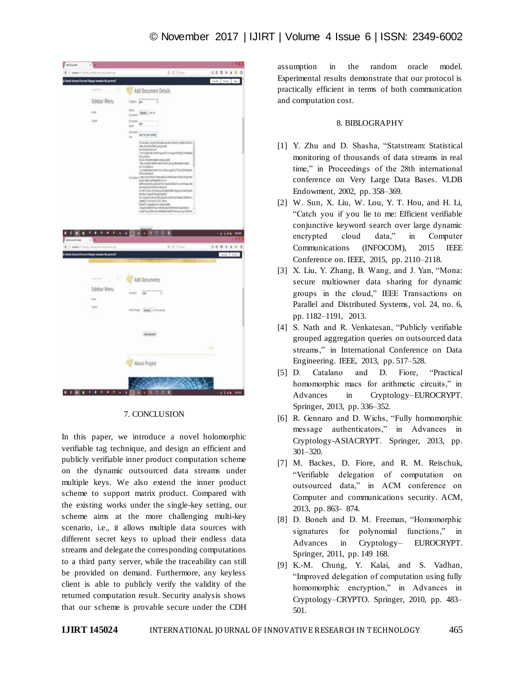

### 7. CONCLUSION

In this paper, we introduce a novel holomorphic verifiable tag technique, and design an efficient and publicly verifiable inner product computation scheme on the dynamic outsourced data streams under multiple keys. We also extend the inner product scheme to support matrix product. Compared with the existing works under the single-key setting, our scheme aims at the more challenging multi-key scenario, i.e., it allows multiple data sources with different secret keys to upload their endless data streams and delegate the corresponding computations to a third party server, while the traceability can still be provided on demand. Furthermore, any keyless client is able to publicly verify the validity of the returned computation result. Security analysis shows that our scheme is provable secure under the CDH assumption in the random oracle model. Experimental results demonstrate that our protocol is practically efficient in terms of both communication and computation cost.

#### 8. BIBLOGRAPHY

- [1] Y. Zhu and D. Shasha, "Statstream: Statistical monitoring of thousands of data streams in real time," in Proceedings of the 28th international conference on Very Large Data Bases. VLDB Endowment, 2002, pp. 358–369.
- [2] W. Sun, X. Liu, W. Lou, Y. T. Hou, and H. Li, "Catch you if you lie to me: Efficient verifiable conjunctive keyword search over large dynamic encrypted cloud data," in Computer Communications (INFOCOM), 2015 IEEE Conference on. IEEE, 2015, pp. 2110–2118.
- [3] X. Liu, Y. Zhang, B. Wang, and J. Yan, "Mona: secure multiowner data sharing for dynamic groups in the cloud," IEEE Transactions on Parallel and Distributed Systems, vol. 24, no. 6, pp. 1182–1191, 2013.
- [4] S. Nath and R. Venkatesan, "Publicly verifiable grouped aggregation queries on outsourced data streams," in International Conference on Data Engineering. IEEE, 2013, pp. 517–528.
- [5] D. Catalano and D. Fiore, "Practical homomorphic macs for arithmetic circuits," in Advances in Cryptology–EUROCRYPT. Springer, 2013, pp. 336–352.
- [6] R. Gennaro and D. Wichs, "Fully homomorphic message authenticators," in Advances in Cryptology-ASIACRYPT. Springer, 2013, pp. 301–320.
- [7] M. Backes, D. Fiore, and R. M. Reischuk, "Verifiable delegation of computation on outsourced data," in ACM conference on Computer and communications security. ACM, 2013, pp. 863– 874.
- [8] D. Boneh and D. M. Freeman, "Homomorphic signatures for polynomial functions," in Advances in Cryptology– EUROCRYPT. Springer, 2011, pp. 149 168.
- [9] K.-M. Chung, Y. Kalai, and S. Vadhan, "Improved delegation of computation using fully homomorphic encryption," in Advances in Cryptology–CRYPTO. Springer, 2010, pp. 483– 501.